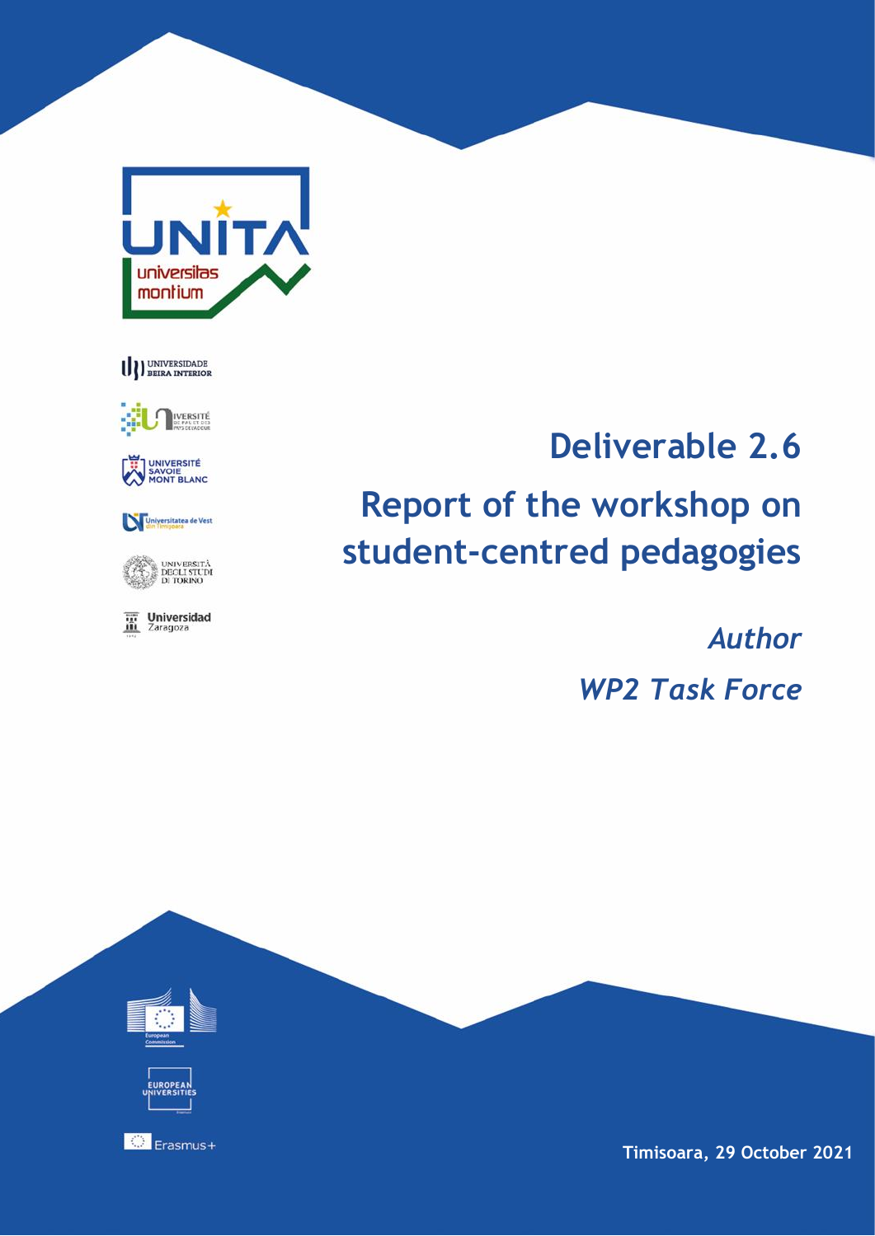





UNIVERSITÉ<br>SAVOIE<br>MONT BLANC

Universitatea de Vest

UNIVERSITÀ<br>DEGLI STUDI<br>DI TORINO

The Universidad

## **Deliverable 2.6**

# **Report of the workshop on student-centred pedagogies**

*Author*

*WP2 Task Force*



**Timisoara, 29 October 2021**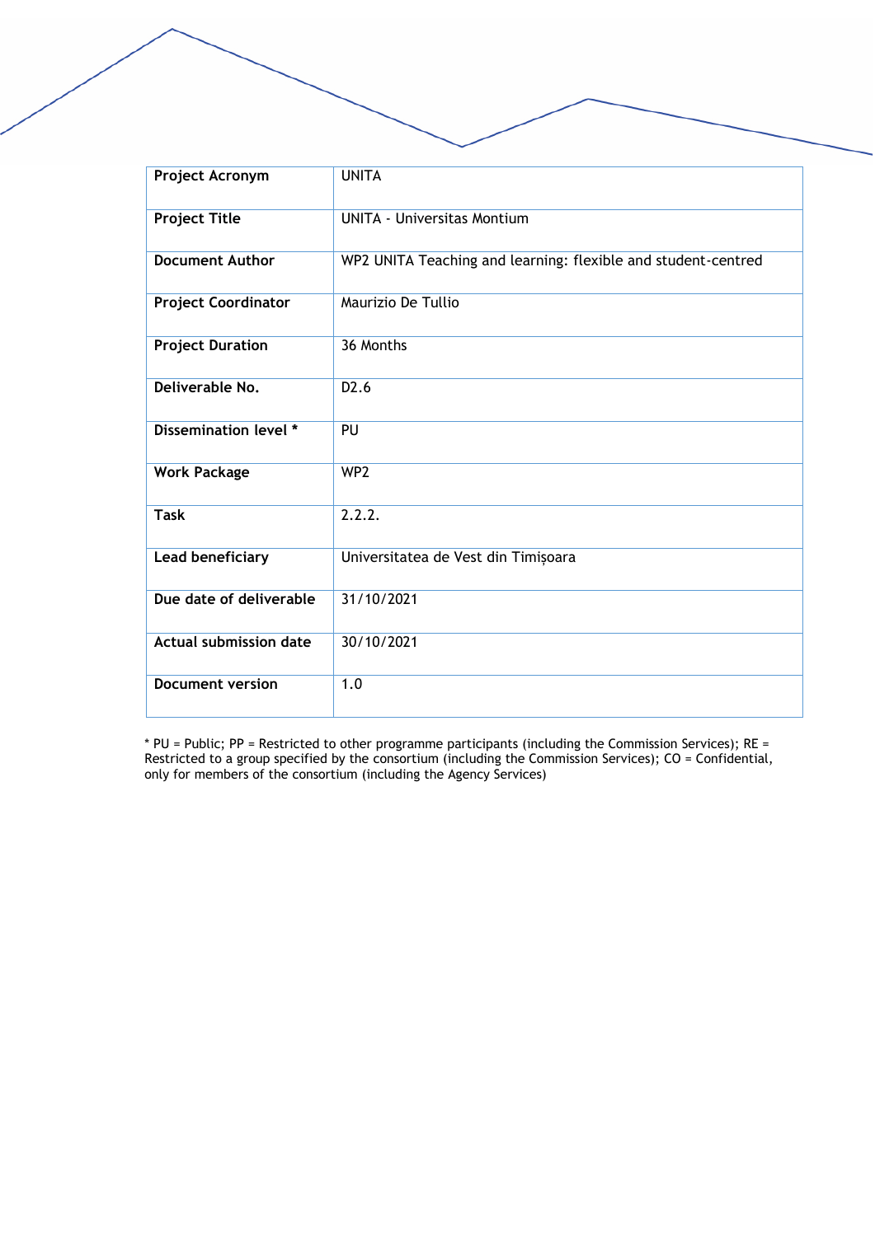| Project Acronym               | <b>UNITA</b>                                                  |
|-------------------------------|---------------------------------------------------------------|
| <b>Project Title</b>          | <b>UNITA - Universitas Montium</b>                            |
| <b>Document Author</b>        | WP2 UNITA Teaching and learning: flexible and student-centred |
| <b>Project Coordinator</b>    | Maurizio De Tullio                                            |
| <b>Project Duration</b>       | 36 Months                                                     |
| Deliverable No.               | D <sub>2</sub> .6                                             |
| Dissemination level *         | PU                                                            |
| <b>Work Package</b>           | WP <sub>2</sub>                                               |
| <b>Task</b>                   | 2.2.2.                                                        |
| Lead beneficiary              | Universitatea de Vest din Timișoara                           |
| Due date of deliverable       | 31/10/2021                                                    |
| <b>Actual submission date</b> | 30/10/2021                                                    |
| <b>Document version</b>       | 1.0                                                           |

\* PU = Public; PP = Restricted to other programme participants (including the Commission Services); RE = Restricted to a group specified by the consortium (including the Commission Services); CO = Confidential, only for members of the consortium (including the Agency Services)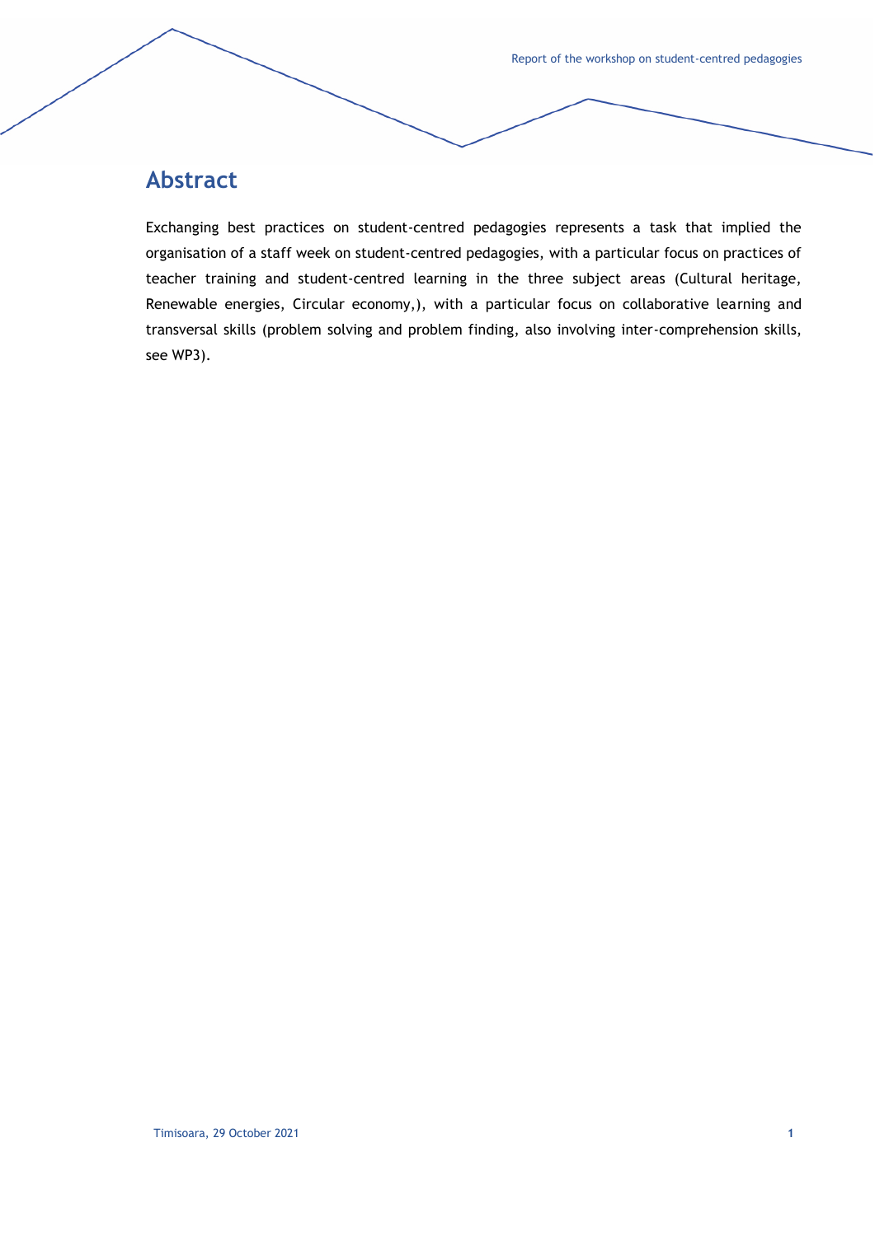## **Abstract**

Exchanging best practices on student-centred pedagogies represents a task that implied the organisation of a staff week on student-centred pedagogies, with a particular focus on practices of teacher training and student-centred learning in the three subject areas (Cultural heritage, Renewable energies, Circular economy,), with a particular focus on collaborative learning and transversal skills (problem solving and problem finding, also involving inter-comprehension skills, see WP3).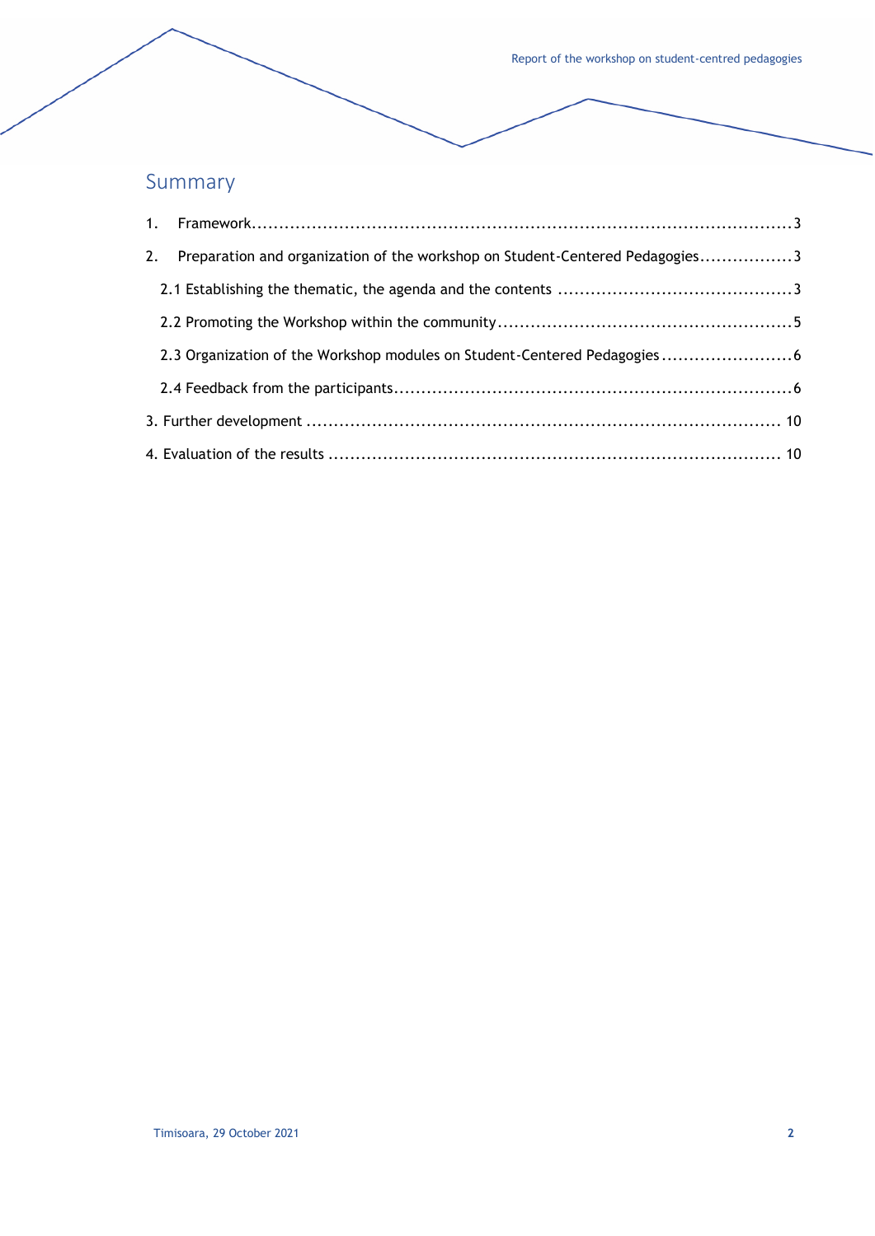## Summary

| 2. Preparation and organization of the workshop on Student-Centered Pedagogies3 |  |
|---------------------------------------------------------------------------------|--|
|                                                                                 |  |
|                                                                                 |  |
|                                                                                 |  |
|                                                                                 |  |
|                                                                                 |  |
|                                                                                 |  |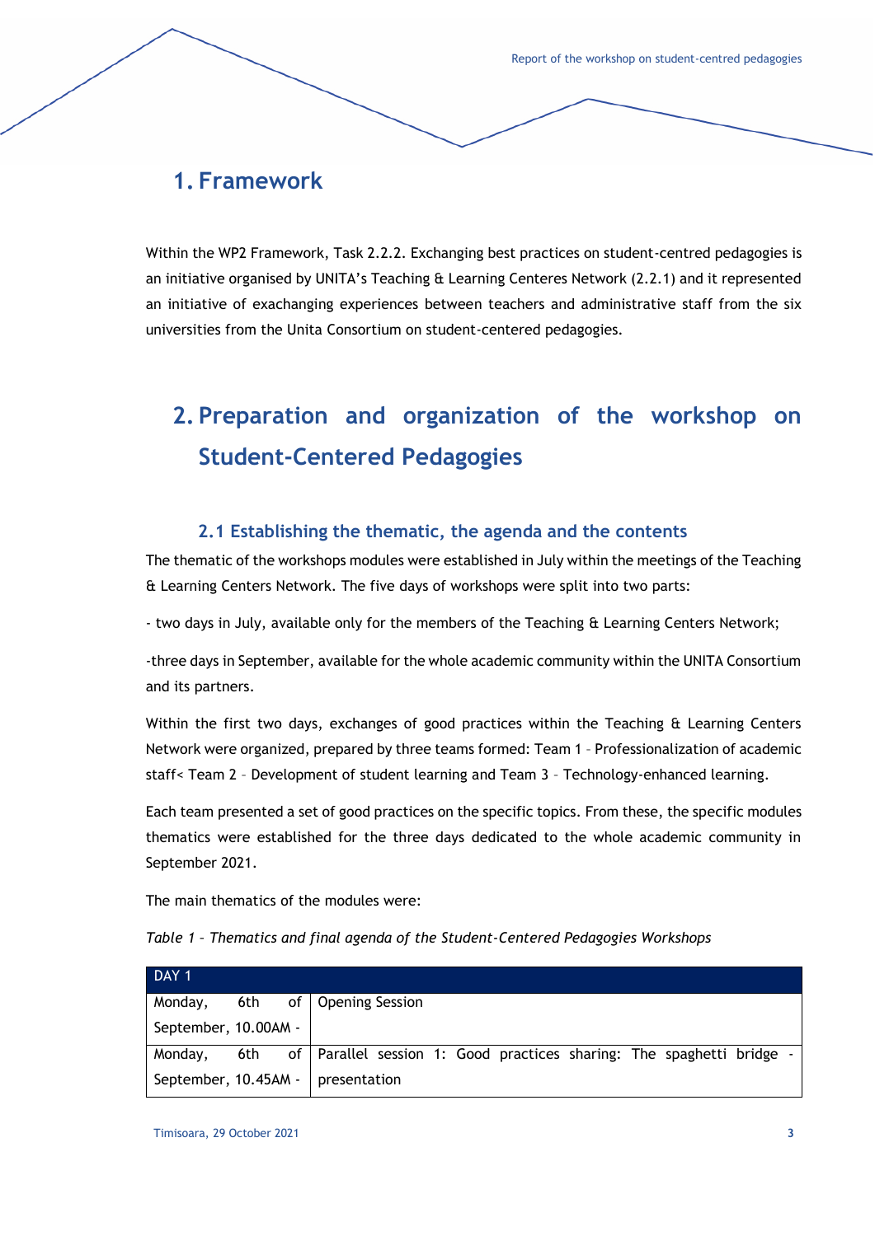## <span id="page-4-0"></span>**1. Framework**

Within the WP2 Framework, Task 2.2.2. Exchanging best practices on student-centred pedagogies is an initiative organised by UNITA's Teaching & Learning Centeres Network (2.2.1) and it represented an initiative of exachanging experiences between teachers and administrative staff from the six universities from the Unita Consortium on student-centered pedagogies.

## <span id="page-4-1"></span>**2. Preparation and organization of the workshop on Student-Centered Pedagogies**

#### **2.1 Establishing the thematic, the agenda and the contents**

<span id="page-4-2"></span>The thematic of the workshops modules were established in July within the meetings of the Teaching & Learning Centers Network. The five days of workshops were split into two parts:

- two days in July, available only for the members of the Teaching & Learning Centers Network;

-three days in September, available for the whole academic community within the UNITA Consortium and its partners.

Within the first two days, exchanges of good practices within the Teaching  $\alpha$  Learning Centers Network were organized, prepared by three teams formed: Team 1 – Professionalization of academic staff< Team 2 – Development of student learning and Team 3 – Technology-enhanced learning.

Each team presented a set of good practices on the specific topics. From these, the specific modules thematics were established for the three days dedicated to the whole academic community in September 2021.

The main thematics of the modules were:

| Table 1 - Thematics and final agenda of the Student-Centered Pedagogies Workshops |  |  |  |
|-----------------------------------------------------------------------------------|--|--|--|
|-----------------------------------------------------------------------------------|--|--|--|

| DAY <sub>1</sub>                                                                  |  |  |  |  |  |  |  |
|-----------------------------------------------------------------------------------|--|--|--|--|--|--|--|
| Monday, 6th of Opening Session                                                    |  |  |  |  |  |  |  |
| September, 10.00AM -                                                              |  |  |  |  |  |  |  |
| Monday, 6th of Parallel session 1: Good practices sharing: The spaghetti bridge - |  |  |  |  |  |  |  |
| September, $10.45AM -$ presentation                                               |  |  |  |  |  |  |  |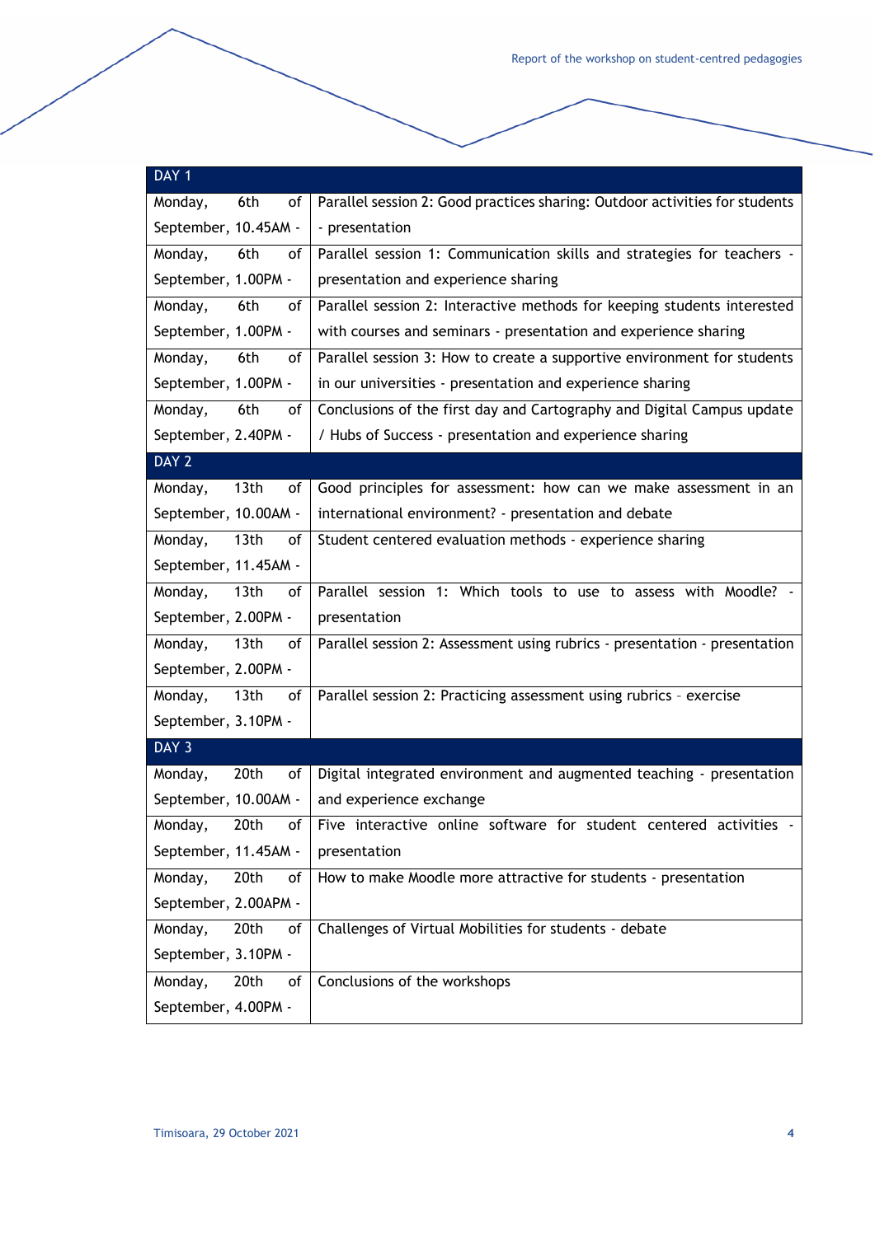| DAY <sub>1</sub>                   |                                                                             |  |  |  |  |  |
|------------------------------------|-----------------------------------------------------------------------------|--|--|--|--|--|
| 6th<br>Monday,<br>οf               | Parallel session 2: Good practices sharing: Outdoor activities for students |  |  |  |  |  |
| September, 10.45AM -               | - presentation                                                              |  |  |  |  |  |
| Monday,<br>6th<br>of               | Parallel session 1: Communication skills and strategies for teachers -      |  |  |  |  |  |
| September, 1.00PM -                | presentation and experience sharing                                         |  |  |  |  |  |
| Monday,<br>6th<br>of               | Parallel session 2: Interactive methods for keeping students interested     |  |  |  |  |  |
| September, 1.00PM -                | with courses and seminars - presentation and experience sharing             |  |  |  |  |  |
| Monday,<br>6th<br>οf               | Parallel session 3: How to create a supportive environment for students     |  |  |  |  |  |
| September, 1.00PM -                | in our universities - presentation and experience sharing                   |  |  |  |  |  |
| 6th<br>Monday,<br>of               | Conclusions of the first day and Cartography and Digital Campus update      |  |  |  |  |  |
| September, 2.40PM -                | / Hubs of Success - presentation and experience sharing                     |  |  |  |  |  |
| DAY 2                              |                                                                             |  |  |  |  |  |
| 13th<br>Monday,<br>of              | Good principles for assessment: how can we make assessment in an            |  |  |  |  |  |
| September, 10.00AM -               | international environment? - presentation and debate                        |  |  |  |  |  |
| 13th<br>Monday,<br>οf              | Student centered evaluation methods - experience sharing                    |  |  |  |  |  |
| September, 11.45AM -               |                                                                             |  |  |  |  |  |
| 13th<br>Monday,<br>of              | Parallel session 1: Which tools to use to assess with Moodle? -             |  |  |  |  |  |
| September, 2.00PM -                | presentation                                                                |  |  |  |  |  |
| Monday,<br>13th<br>of              | Parallel session 2: Assessment using rubrics - presentation - presentation  |  |  |  |  |  |
| September, 2.00PM -                |                                                                             |  |  |  |  |  |
| Monday,<br>13 <sub>th</sub><br>of  | Parallel session 2: Practicing assessment using rubrics - exercise          |  |  |  |  |  |
| September, 3.10PM -                |                                                                             |  |  |  |  |  |
| DAY 3                              |                                                                             |  |  |  |  |  |
| 20th<br>Monday,<br>of              | Digital integrated environment and augmented teaching - presentation        |  |  |  |  |  |
| September, 10.00AM -               | and experience exchange                                                     |  |  |  |  |  |
| Monday,<br>20th<br>of <sub>l</sub> | Five interactive online software for student centered activities -          |  |  |  |  |  |
| September, 11.45AM -               | presentation                                                                |  |  |  |  |  |
| Monday,<br>20th<br>of              | How to make Moodle more attractive for students - presentation              |  |  |  |  |  |
| September, 2.00APM -               |                                                                             |  |  |  |  |  |
| Monday,<br>20th<br>οf              | Challenges of Virtual Mobilities for students - debate                      |  |  |  |  |  |
| September, 3.10PM -                |                                                                             |  |  |  |  |  |
| Monday,<br>20th<br>of              | Conclusions of the workshops                                                |  |  |  |  |  |
| September, 4.00PM -                |                                                                             |  |  |  |  |  |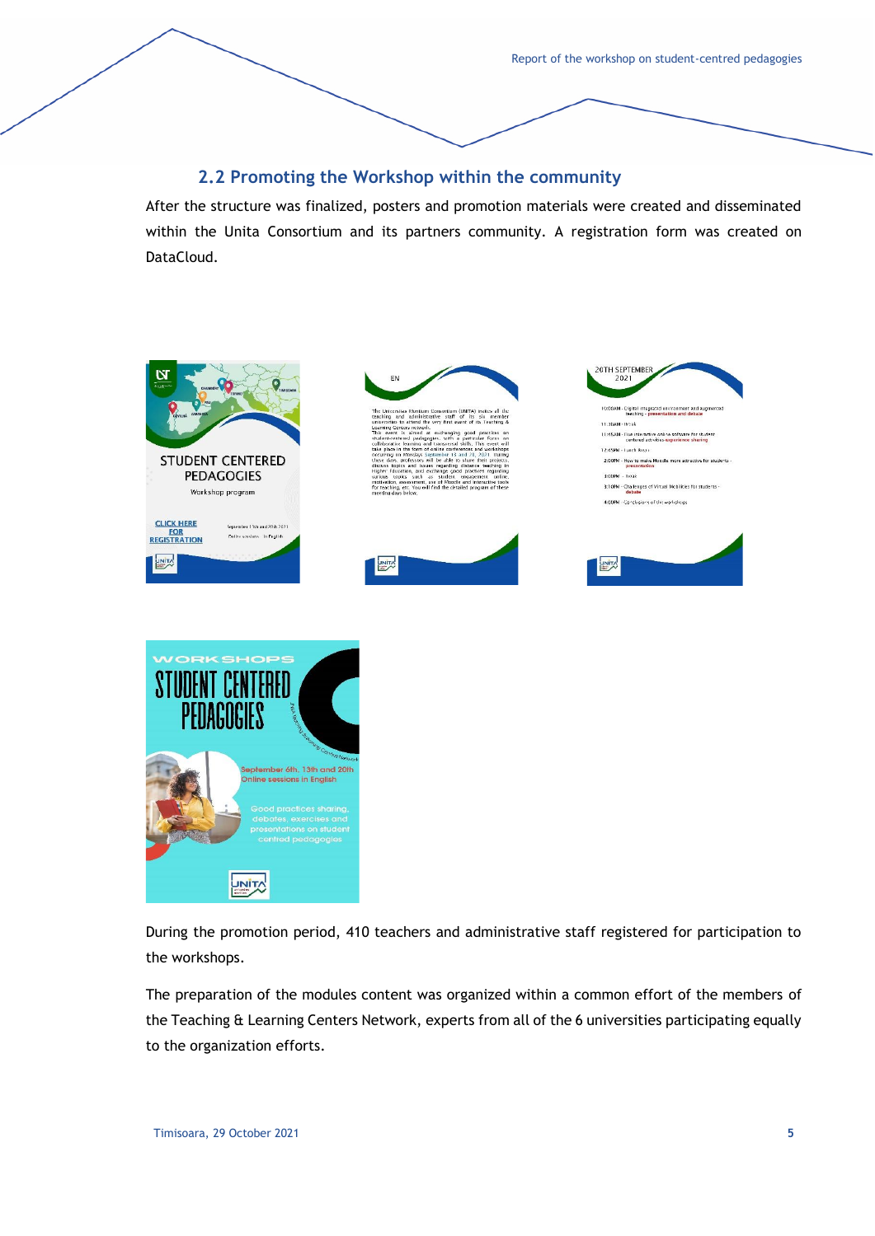#### **2.2 Promoting the Workshop within the community**

<span id="page-6-0"></span>After the structure was finalized, posters and promotion materials were created and disseminated within the Unita Consortium and its partners community. A registration form was created on DataCloud.



During the promotion period, 410 teachers and administrative staff registered for participation to the workshops.

The preparation of the modules content was organized within a common effort of the members of the Teaching & Learning Centers Network, experts from all of the 6 universities participating equally to the organization efforts.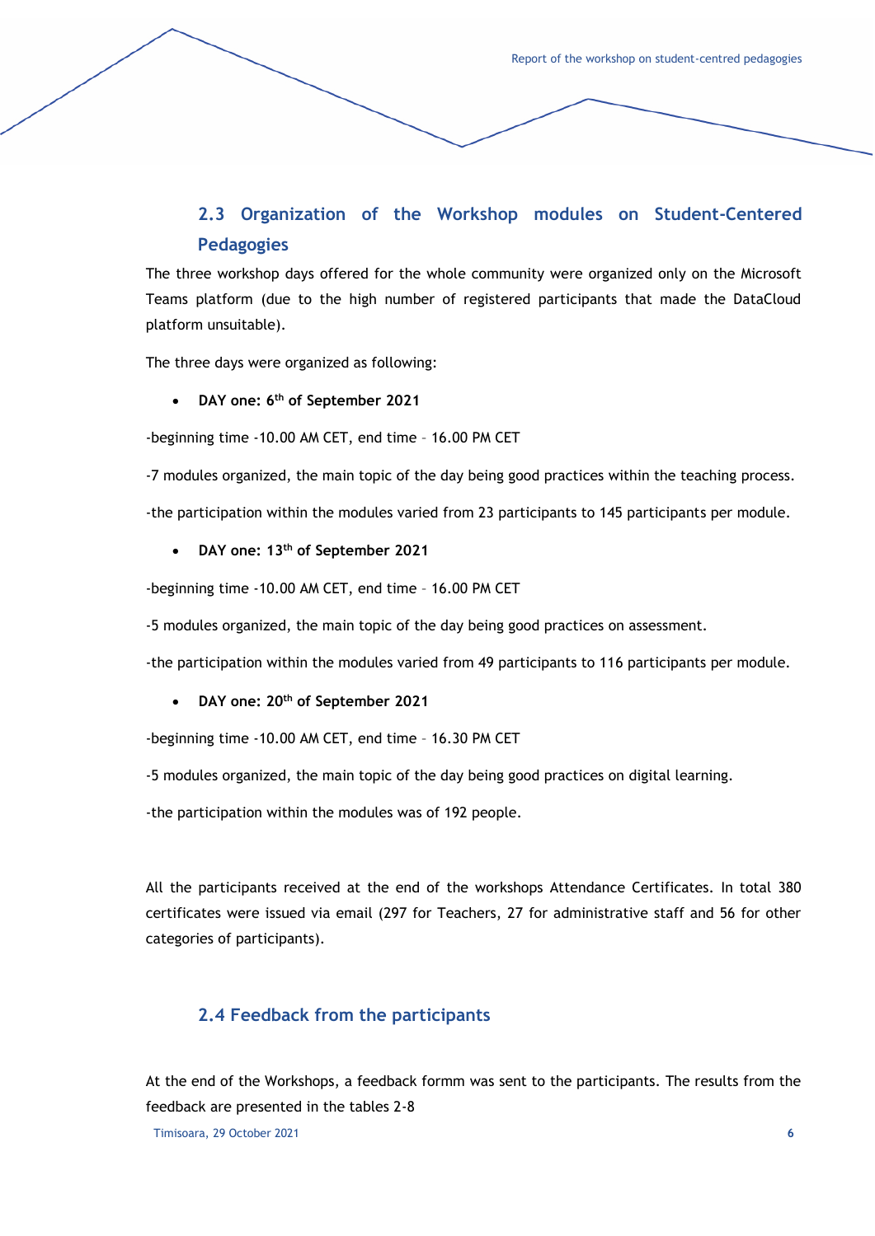## <span id="page-7-0"></span>**2.3 Organization of the Workshop modules on Student-Centered Pedagogies**

The three workshop days offered for the whole community were organized only on the Microsoft Teams platform (due to the high number of registered participants that made the DataCloud platform unsuitable).

The three days were organized as following:

#### • **DAY one: 6th of September 2021**

-beginning time -10.00 AM CET, end time – 16.00 PM CET

-7 modules organized, the main topic of the day being good practices within the teaching process.

-the participation within the modules varied from 23 participants to 145 participants per module.

#### • **DAY one: 13th of September 2021**

-beginning time -10.00 AM CET, end time – 16.00 PM CET

-5 modules organized, the main topic of the day being good practices on assessment.

-the participation within the modules varied from 49 participants to 116 participants per module.

#### • **DAY one: 20th of September 2021**

-beginning time -10.00 AM CET, end time – 16.30 PM CET

-5 modules organized, the main topic of the day being good practices on digital learning.

-the participation within the modules was of 192 people.

All the participants received at the end of the workshops Attendance Certificates. In total 380 certificates were issued via email (297 for Teachers, 27 for administrative staff and 56 for other categories of participants).

#### <span id="page-7-1"></span>**2.4 Feedback from the participants**

At the end of the Workshops, a feedback formm was sent to the participants. The results from the feedback are presented in the tables 2-8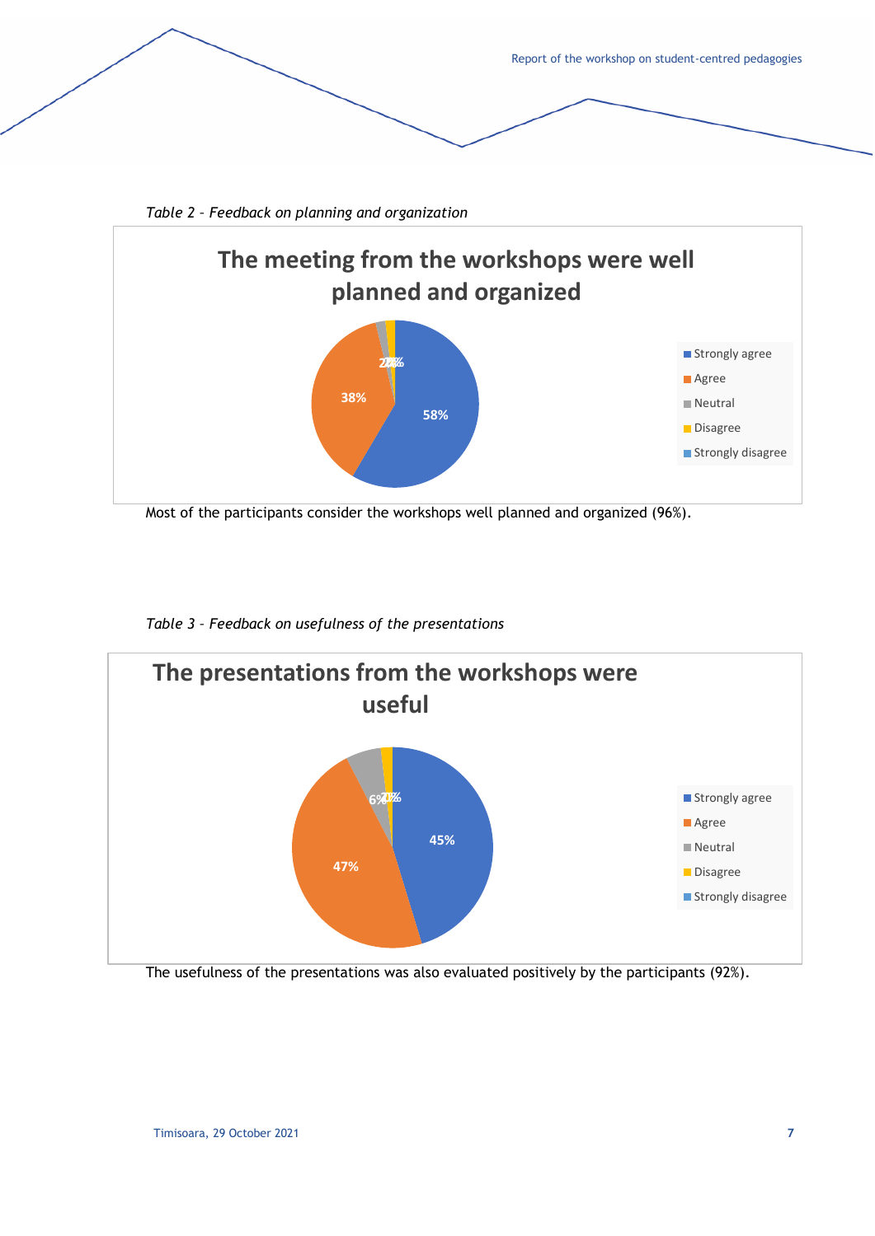



*Table 2 – Feedback on planning and organization*

Most of the participants consider the workshops well planned and organized (96%).

*Table 3 – Feedback on usefulness of the presentations*



The usefulness of the presentations was also evaluated positively by the participants (92%).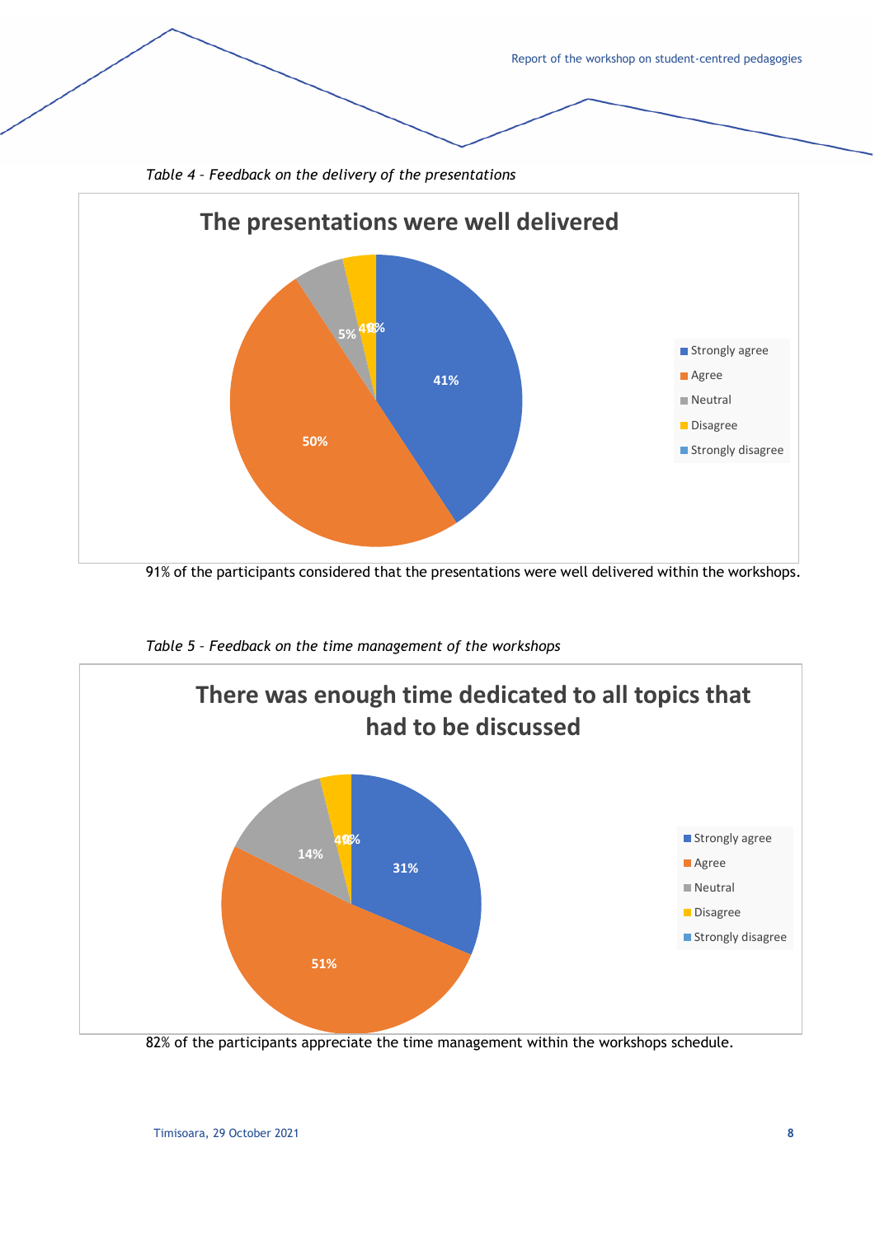



91% of the participants considered that the presentations were well delivered within the workshops.



*Table 5 – Feedback on the time management of the workshops*

82% of the participants appreciate the time management within the workshops schedule.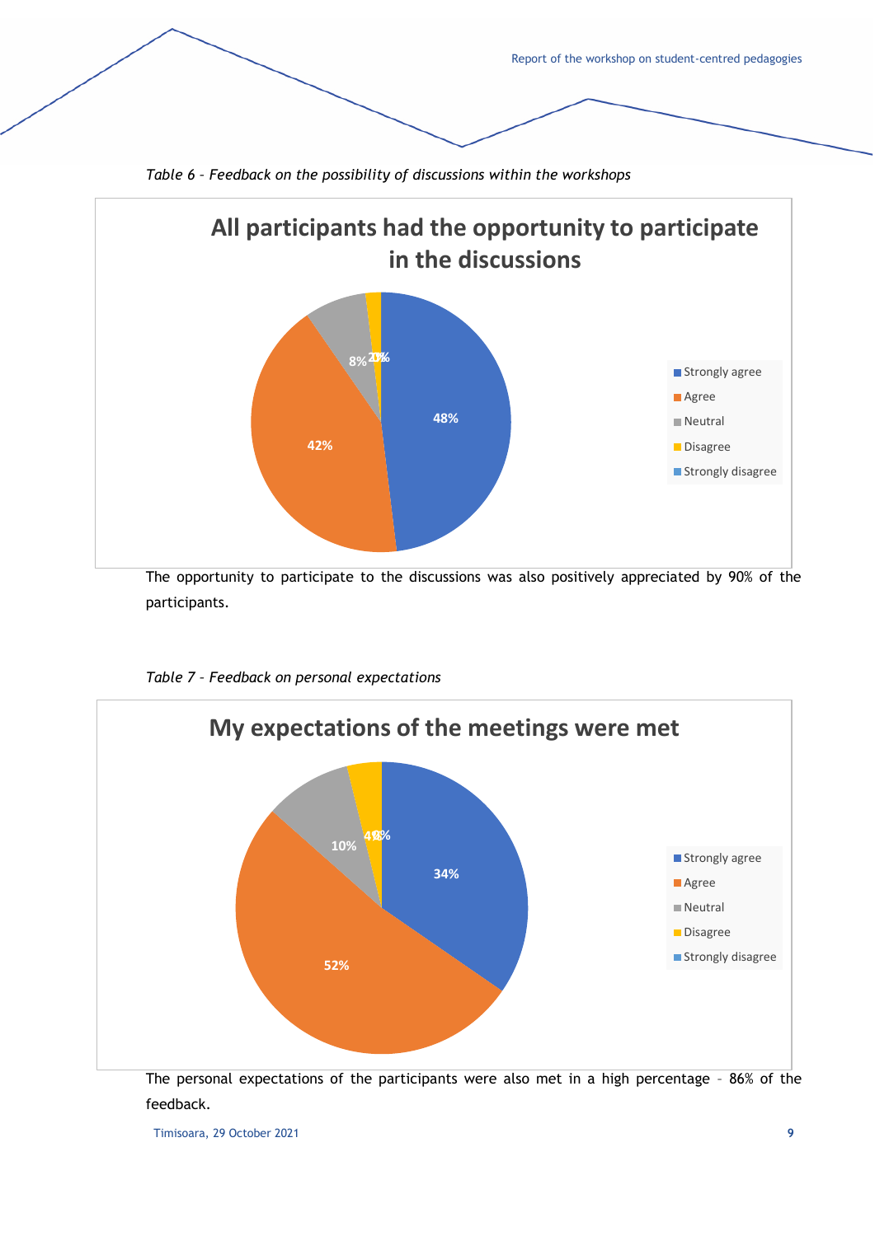

*Table 6 – Feedback on the possibility of discussions within the workshops*

The opportunity to participate to the discussions was also positively appreciated by 90% of the participants.



*Table 7 – Feedback on personal expectations*

The personal expectations of the participants were also met in a high percentage – 86% of the feedback.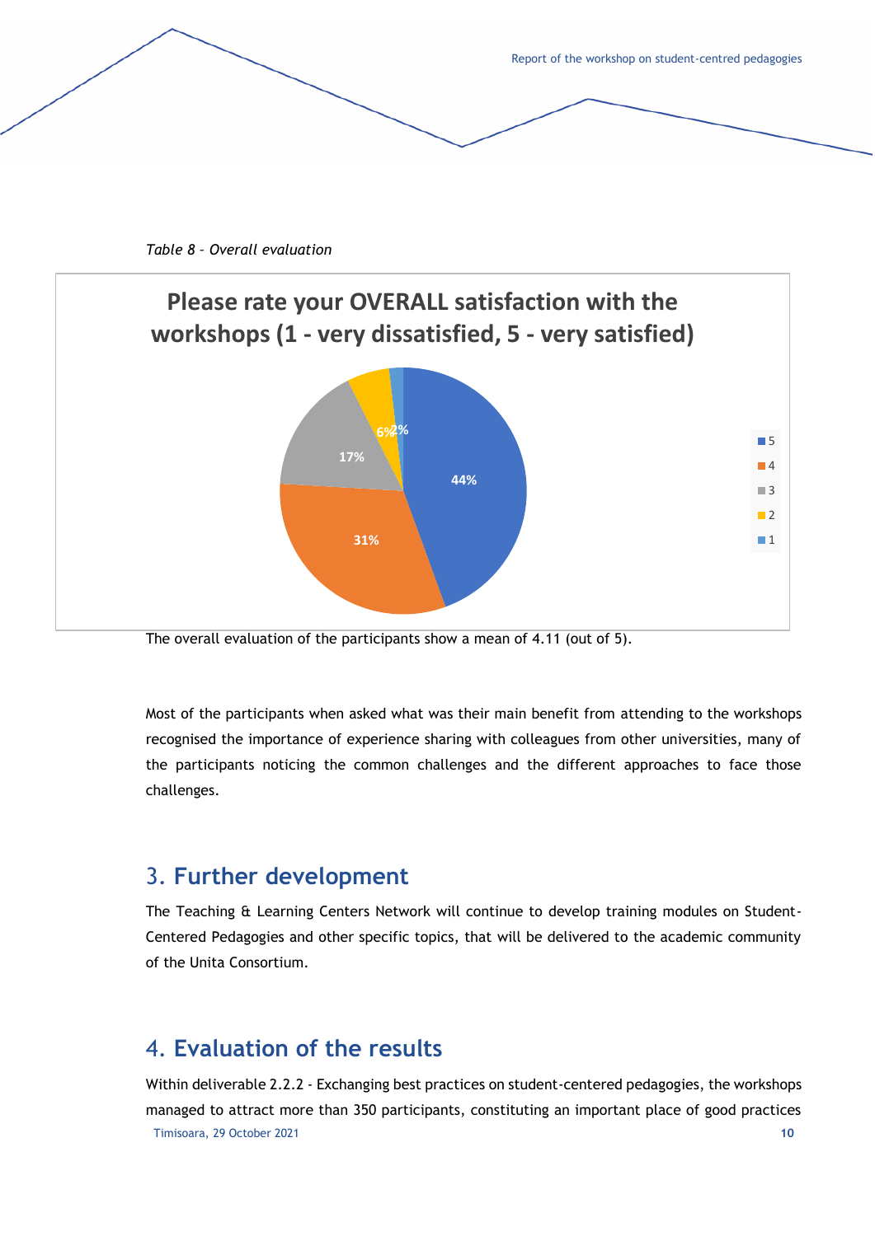

*Table 8 – Overall evaluation*

![](_page_11_Figure_2.jpeg)

The overall evaluation of the participants show a mean of 4.11 (out of 5).

Most of the participants when asked what was their main benefit from attending to the workshops recognised the importance of experience sharing with colleagues from other universities, many of the participants noticing the common challenges and the different approaches to face those challenges.

### <span id="page-11-0"></span>3. **Further development**

The Teaching & Learning Centers Network will continue to develop training modules on Student-Centered Pedagogies and other specific topics, that will be delivered to the academic community of the Unita Consortium.

## <span id="page-11-1"></span>4. **Evaluation of the results**

Timisoara, 29 October 2021 **10** Within deliverable 2.2.2 - Exchanging best practices on student-centered pedagogies, the workshops managed to attract more than 350 participants, constituting an important place of good practices